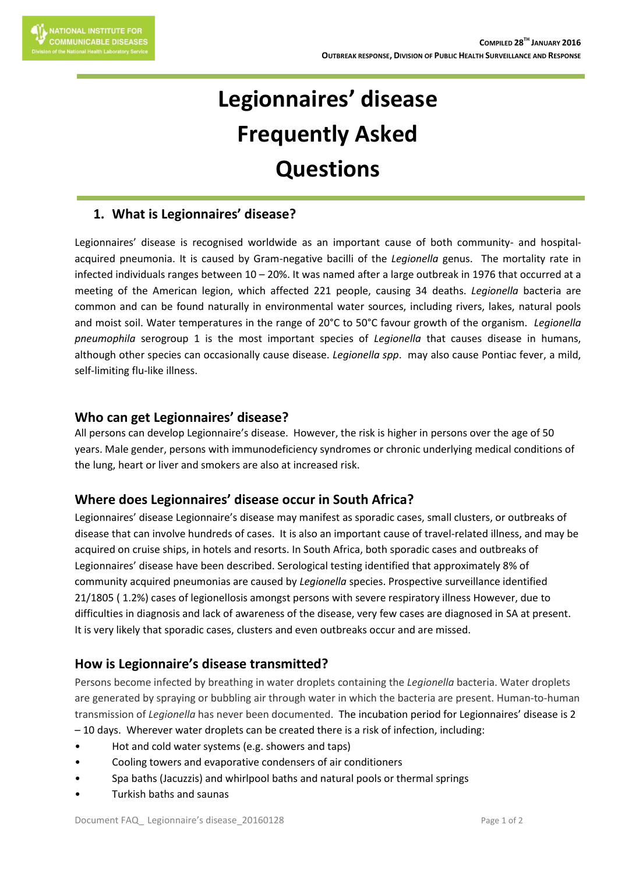# **Legionnaires' disease Frequently Asked Questions**

# **1. What is Legionnaires' disease?**

Legionnaires' disease is recognised worldwide as an important cause of both community- and hospitalacquired pneumonia. It is caused by Gram-negative bacilli of the *Legionella* genus. The mortality rate in infected individuals ranges between 10 – 20%. It was named after a large outbreak in 1976 that occurred at a meeting of the American legion, which affected 221 people, causing 34 deaths. *Legionella* bacteria are common and can be found naturally in environmental water sources, including rivers, lakes, natural pools and moist soil. Water temperatures in the range of 20°C to 50°C favour growth of the organism. *Legionella pneumophila* serogroup 1 is the most important species of *Legionella* that causes disease in humans, although other species can occasionally cause disease. *Legionella spp*. may also cause Pontiac fever, a mild, self-limiting flu-like illness.

#### **Who can get Legionnaires' disease?**

All persons can develop Legionnaire's disease. However, the risk is higher in persons over the age of 50 years. Male gender, persons with immunodeficiency syndromes or chronic underlying medical conditions of the lung, heart or liver and smokers are also at increased risk.

### **Where does Legionnaires' disease occur in South Africa?**

Legionnaires' disease Legionnaire's disease may manifest as sporadic cases, small clusters, or outbreaks of disease that can involve hundreds of cases. It is also an important cause of travel-related illness, and may be acquired on cruise ships, in hotels and resorts. In South Africa, both sporadic cases and outbreaks of Legionnaires' disease have been described. Serological testing identified that approximately 8% of community acquired pneumonias are caused by *Legionella* species. Prospective surveillance identified 21/1805 ( 1.2%) cases of legionellosis amongst persons with severe respiratory illness However, due to difficulties in diagnosis and lack of awareness of the disease, very few cases are diagnosed in SA at present. It is very likely that sporadic cases, clusters and even outbreaks occur and are missed.

### **How is Legionnaire's disease transmitted?**

Persons become infected by breathing in water droplets containing the *Legionella* bacteria. Water droplets are generated by spraying or bubbling air through water in which the bacteria are present. Human-to-human transmission of *Legionella* has never been documented. The incubation period for Legionnaires' disease is 2

- 10 days. Wherever water droplets can be created there is a risk of infection, including:
- Hot and cold water systems (e.g. showers and taps)
- Cooling towers and evaporative condensers of air conditioners
- Spa baths (Jacuzzis) and whirlpool baths and natural pools or thermal springs
- Turkish baths and saunas